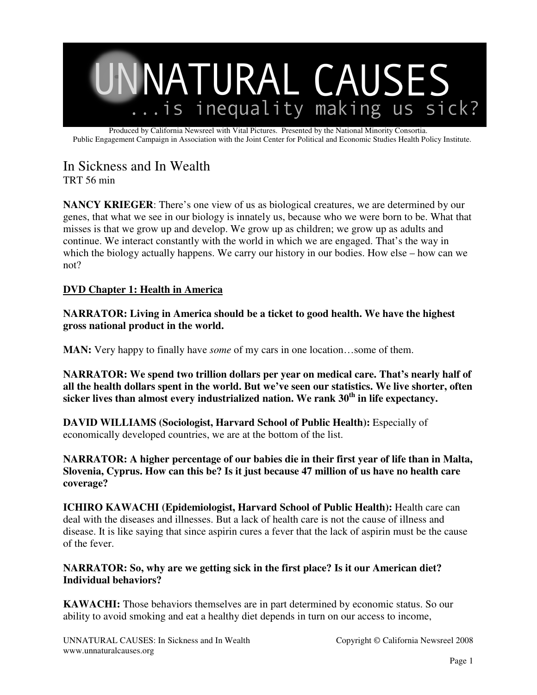

Produced by California Newsreel with Vital Pictures. Presented by the National Minority Consortia. Public Engagement Campaign in Association with the Joint Center for Political and Economic Studies Health Policy Institute.

# In Sickness and In Wealth

TRT 56 min

**NANCY KRIEGER**: There's one view of us as biological creatures, we are determined by our genes, that what we see in our biology is innately us, because who we were born to be. What that misses is that we grow up and develop. We grow up as children; we grow up as adults and continue. We interact constantly with the world in which we are engaged. That's the way in which the biology actually happens. We carry our history in our bodies. How else – how can we not?

# **DVD Chapter 1: Health in America**

**NARRATOR: Living in America should be a ticket to good health. We have the highest gross national product in the world.**

**MAN:** Very happy to finally have *some* of my cars in one location…some of them.

**NARRATOR: We spend two trillion dollars per year on medical care. That's nearly half of all the health dollars spent in the world. But we've seen our statistics. We live shorter, often sicker lives than almost every industrialized nation. We rank 30th in life expectancy.**

**DAVID WILLIAMS (Sociologist, Harvard School of Public Health):** Especially of economically developed countries, we are at the bottom of the list.

**NARRATOR: A higher percentage of our babies die in their first year of life than in Malta, Slovenia, Cyprus. How can this be? Is it just because 47 million of us have no health care coverage?**

**ICHIRO KAWACHI (Epidemiologist, Harvard School of Public Health):** Health care can deal with the diseases and illnesses. But a lack of health care is not the cause of illness and disease. It is like saying that since aspirin cures a fever that the lack of aspirin must be the cause of the fever.

# **NARRATOR: So, why are we getting sick in the first place? Is it our American diet? Individual behaviors?**

**KAWACHI:** Those behaviors themselves are in part determined by economic status. So our ability to avoid smoking and eat a healthy diet depends in turn on our access to income,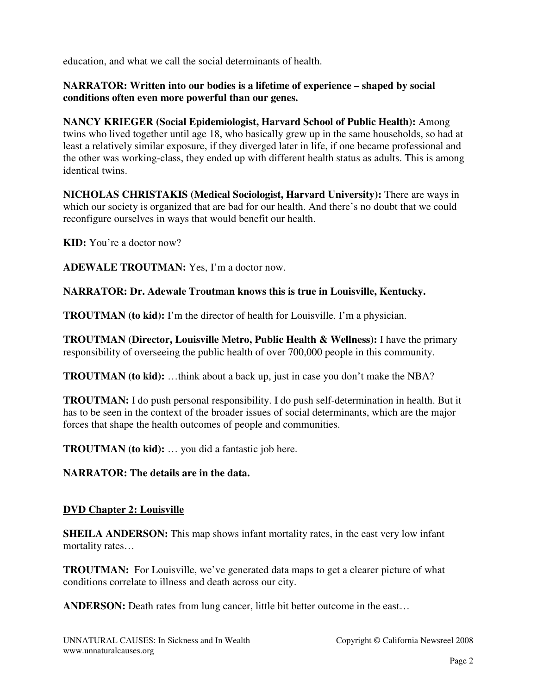education, and what we call the social determinants of health.

#### **NARRATOR: Written into our bodies is a lifetime of experience – shaped by social conditions often even more powerful than our genes.**

**NANCY KRIEGER (Social Epidemiologist, Harvard School of Public Health):** Among twins who lived together until age 18, who basically grew up in the same households, so had at least a relatively similar exposure, if they diverged later in life, if one became professional and the other was working-class, they ended up with different health status as adults. This is among identical twins.

**NICHOLAS CHRISTAKIS (Medical Sociologist, Harvard University):** There are ways in which our society is organized that are bad for our health. And there's no doubt that we could reconfigure ourselves in ways that would benefit our health.

**KID:** You're a doctor now?

**ADEWALE TROUTMAN:** Yes, I'm a doctor now.

**NARRATOR: Dr. Adewale Troutman knows this is true in Louisville, Kentucky.**

**TROUTMAN (to kid):** I'm the director of health for Louisville. I'm a physician.

**TROUTMAN (Director, Louisville Metro, Public Health & Wellness):** I have the primary responsibility of overseeing the public health of over 700,000 people in this community.

**TROUTMAN (to kid):** …think about a back up, just in case you don't make the NBA?

**TROUTMAN:** I do push personal responsibility. I do push self-determination in health. But it has to be seen in the context of the broader issues of social determinants, which are the major forces that shape the health outcomes of people and communities.

**TROUTMAN (to kid):** … you did a fantastic job here.

# **NARRATOR: The details are in the data.**

#### **DVD Chapter 2: Louisville**

**SHEILA ANDERSON:** This map shows infant mortality rates, in the east very low infant mortality rates…

**TROUTMAN:** For Louisville, we've generated data maps to get a clearer picture of what conditions correlate to illness and death across our city.

**ANDERSON:** Death rates from lung cancer, little bit better outcome in the east...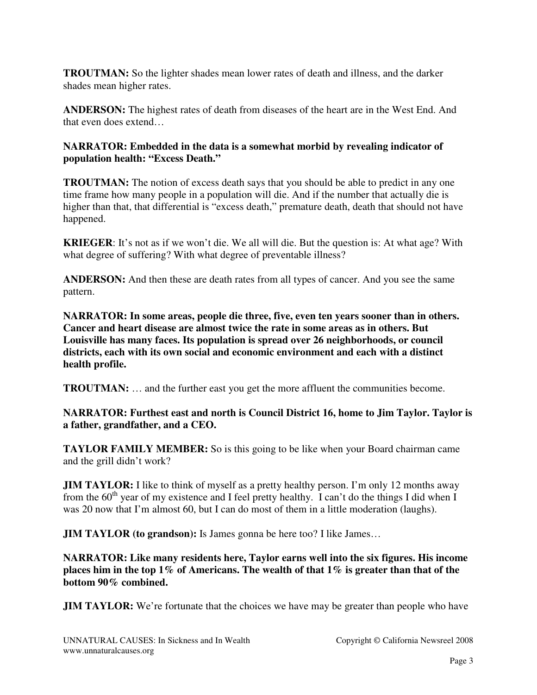**TROUTMAN:** So the lighter shades mean lower rates of death and illness, and the darker shades mean higher rates.

**ANDERSON:** The highest rates of death from diseases of the heart are in the West End. And that even does extend…

#### **NARRATOR: Embedded in the data is a somewhat morbid by revealing indicator of population health: "Excess Death."**

**TROUTMAN:** The notion of excess death says that you should be able to predict in any one time frame how many people in a population will die. And if the number that actually die is higher than that, that differential is "excess death," premature death, death that should not have happened.

**KRIEGER**: It's not as if we won't die. We all will die. But the question is: At what age? With what degree of suffering? With what degree of preventable illness?

**ANDERSON:** And then these are death rates from all types of cancer. And you see the same pattern.

**NARRATOR: In some areas, people die three, five, even ten years sooner than in others. Cancer and heart disease are almost twice the rate in some areas as in others. But Louisville has many faces. Its population is spread over 26 neighborhoods, or council districts, each with its own social and economic environment and each with a distinct health profile.**

**TROUTMAN:** … and the further east you get the more affluent the communities become.

# **NARRATOR: Furthest east and north is Council District 16, home to Jim Taylor. Taylor is a father, grandfather, and a CEO.**

**TAYLOR FAMILY MEMBER:** So is this going to be like when your Board chairman came and the grill didn't work?

**JIM TAYLOR:** I like to think of myself as a pretty healthy person. I'm only 12 months away from the  $60<sup>th</sup>$  year of my existence and I feel pretty healthy. I can't do the things I did when I was 20 now that I'm almost 60, but I can do most of them in a little moderation (laughs).

**JIM TAYLOR (to grandson):** Is James gonna be here too? I like James...

**NARRATOR: Like many residents here, Taylor earns well into the six figures. His income places him in the top 1% of Americans. The wealth of that 1% is greater than that of the bottom 90% combined.** 

**JIM TAYLOR:** We're fortunate that the choices we have may be greater than people who have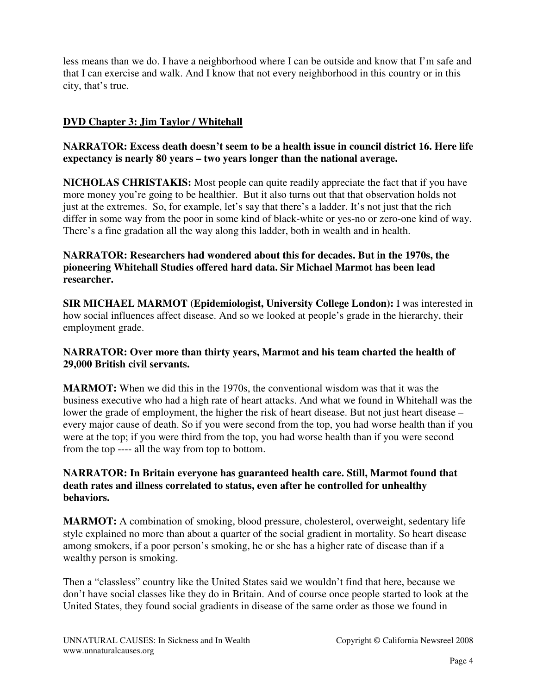less means than we do. I have a neighborhood where I can be outside and know that I'm safe and that I can exercise and walk. And I know that not every neighborhood in this country or in this city, that's true.

# **DVD Chapter 3: Jim Taylor / Whitehall**

# **NARRATOR: Excess death doesn't seem to be a health issue in council district 16. Here life expectancy is nearly 80 years – two years longer than the national average.**

**NICHOLAS CHRISTAKIS:** Most people can quite readily appreciate the fact that if you have more money you're going to be healthier. But it also turns out that that observation holds not just at the extremes. So, for example, let's say that there's a ladder. It's not just that the rich differ in some way from the poor in some kind of black-white or yes-no or zero-one kind of way. There's a fine gradation all the way along this ladder, both in wealth and in health.

# **NARRATOR: Researchers had wondered about this for decades. But in the 1970s, the pioneering Whitehall Studies offered hard data. Sir Michael Marmot has been lead researcher.**

**SIR MICHAEL MARMOT (Epidemiologist, University College London):** I was interested in how social influences affect disease. And so we looked at people's grade in the hierarchy, their employment grade.

# **NARRATOR: Over more than thirty years, Marmot and his team charted the health of 29,000 British civil servants.**

**MARMOT:** When we did this in the 1970s, the conventional wisdom was that it was the business executive who had a high rate of heart attacks. And what we found in Whitehall was the lower the grade of employment, the higher the risk of heart disease. But not just heart disease – every major cause of death. So if you were second from the top, you had worse health than if you were at the top; if you were third from the top, you had worse health than if you were second from the top ---- all the way from top to bottom.

#### **NARRATOR: In Britain everyone has guaranteed health care. Still, Marmot found that death rates and illness correlated to status, even after he controlled for unhealthy behaviors.**

**MARMOT:** A combination of smoking, blood pressure, cholesterol, overweight, sedentary life style explained no more than about a quarter of the social gradient in mortality. So heart disease among smokers, if a poor person's smoking, he or she has a higher rate of disease than if a wealthy person is smoking.

Then a "classless" country like the United States said we wouldn't find that here, because we don't have social classes like they do in Britain. And of course once people started to look at the United States, they found social gradients in disease of the same order as those we found in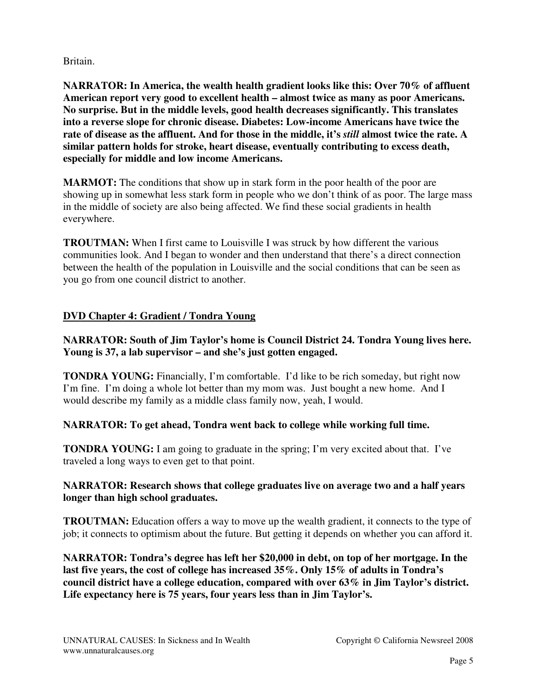Britain.

**NARRATOR: In America, the wealth health gradient looks like this: Over 70% of affluent American report very good to excellent health – almost twice as many as poor Americans. No surprise. But in the middle levels, good health decreases significantly. This translates into a reverse slope for chronic disease. Diabetes: Low-income Americans have twice the rate of disease as the affluent. And for those in the middle, it's** *still* **almost twice the rate. A similar pattern holds for stroke, heart disease, eventually contributing to excess death, especially for middle and low income Americans.**

**MARMOT:** The conditions that show up in stark form in the poor health of the poor are showing up in somewhat less stark form in people who we don't think of as poor. The large mass in the middle of society are also being affected. We find these social gradients in health everywhere.

**TROUTMAN:** When I first came to Louisville I was struck by how different the various communities look. And I began to wonder and then understand that there's a direct connection between the health of the population in Louisville and the social conditions that can be seen as you go from one council district to another.

# **DVD Chapter 4: Gradient / Tondra Young**

# **NARRATOR: South of Jim Taylor's home is Council District 24. Tondra Young lives here. Young is 37, a lab supervisor – and she's just gotten engaged.**

**TONDRA YOUNG:** Financially, I'm comfortable. I'd like to be rich someday, but right now I'm fine. I'm doing a whole lot better than my mom was. Just bought a new home. And I would describe my family as a middle class family now, yeah, I would.

# **NARRATOR: To get ahead, Tondra went back to college while working full time.**

**TONDRA YOUNG:** I am going to graduate in the spring; I'm very excited about that. I've traveled a long ways to even get to that point.

# **NARRATOR: Research shows that college graduates live on average two and a half years longer than high school graduates.**

**TROUTMAN:** Education offers a way to move up the wealth gradient, it connects to the type of job; it connects to optimism about the future. But getting it depends on whether you can afford it.

**NARRATOR: Tondra's degree has left her \$20,000 in debt, on top of her mortgage. In the last five years, the cost of college has increased 35%. Only 15% of adults in Tondra's council district have a college education, compared with over 63% in Jim Taylor's district. Life expectancy here is 75 years, four years less than in Jim Taylor's.**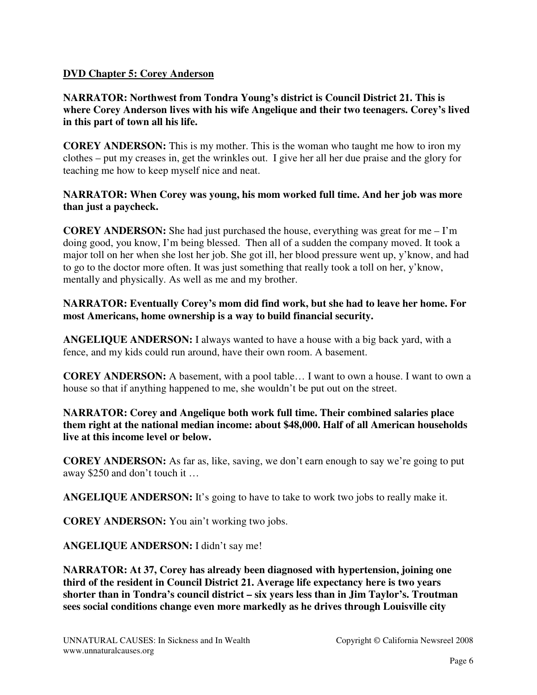#### **DVD Chapter 5: Corey Anderson**

## **NARRATOR: Northwest from Tondra Young's district is Council District 21. This is where Corey Anderson lives with his wife Angelique and their two teenagers. Corey's lived in this part of town all his life.**

**COREY ANDERSON:** This is my mother. This is the woman who taught me how to iron my clothes – put my creases in, get the wrinkles out. I give her all her due praise and the glory for teaching me how to keep myself nice and neat.

#### **NARRATOR: When Corey was young, his mom worked full time. And her job was more than just a paycheck.**

**COREY ANDERSON:** She had just purchased the house, everything was great for me  $-I'm$ doing good, you know, I'm being blessed. Then all of a sudden the company moved. It took a major toll on her when she lost her job. She got ill, her blood pressure went up, y'know, and had to go to the doctor more often. It was just something that really took a toll on her, y'know, mentally and physically. As well as me and my brother.

#### **NARRATOR: Eventually Corey's mom did find work, but she had to leave her home. For most Americans, home ownership is a way to build financial security.**

**ANGELIQUE ANDERSON:** I always wanted to have a house with a big back yard, with a fence, and my kids could run around, have their own room. A basement.

**COREY ANDERSON:** A basement, with a pool table… I want to own a house. I want to own a house so that if anything happened to me, she wouldn't be put out on the street.

#### **NARRATOR: Corey and Angelique both work full time. Their combined salaries place them right at the national median income: about \$48,000. Half of all American households live at this income level or below.**

**COREY ANDERSON:** As far as, like, saving, we don't earn enough to say we're going to put away \$250 and don't touch it …

**ANGELIQUE ANDERSON:** It's going to have to take to work two jobs to really make it.

**COREY ANDERSON:** You ain't working two jobs.

**ANGELIQUE ANDERSON:** I didn't say me!

**NARRATOR: At 37, Corey has already been diagnosed with hypertension, joining one third of the resident in Council District 21. Average life expectancy here is two years shorter than in Tondra's council district – six years less than in Jim Taylor's. Troutman sees social conditions change even more markedly as he drives through Louisville city**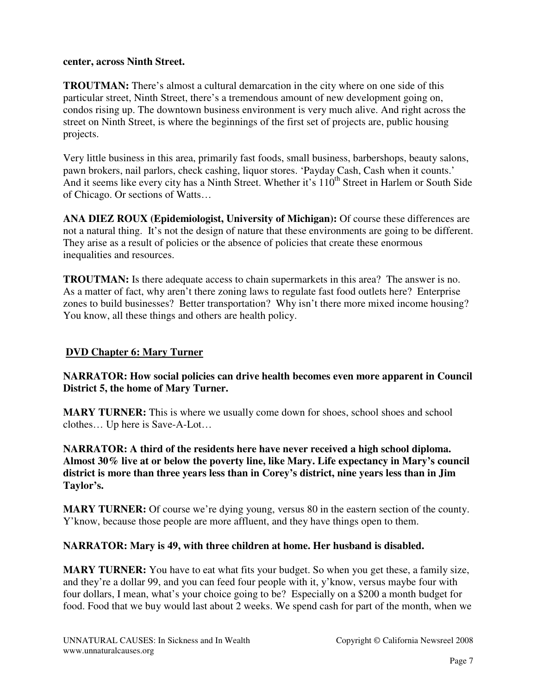#### **center, across Ninth Street.**

**TROUTMAN:** There's almost a cultural demarcation in the city where on one side of this particular street, Ninth Street, there's a tremendous amount of new development going on, condos rising up. The downtown business environment is very much alive. And right across the street on Ninth Street, is where the beginnings of the first set of projects are, public housing projects.

Very little business in this area, primarily fast foods, small business, barbershops, beauty salons, pawn brokers, nail parlors, check cashing, liquor stores. 'Payday Cash, Cash when it counts.' And it seems like every city has a Ninth Street. Whether it's 110<sup>th</sup> Street in Harlem or South Side of Chicago. Or sections of Watts…

**ANA DIEZ ROUX (Epidemiologist, University of Michigan):** Of course these differences are not a natural thing. It's not the design of nature that these environments are going to be different. They arise as a result of policies or the absence of policies that create these enormous inequalities and resources.

**TROUTMAN:** Is there adequate access to chain supermarkets in this area? The answer is no. As a matter of fact, why aren't there zoning laws to regulate fast food outlets here? Enterprise zones to build businesses? Better transportation? Why isn't there more mixed income housing? You know, all these things and others are health policy.

# **DVD Chapter 6: Mary Turner**

# **NARRATOR: How social policies can drive health becomes even more apparent in Council District 5, the home of Mary Turner.**

**MARY TURNER:** This is where we usually come down for shoes, school shoes and school clothes… Up here is Save-A-Lot…

**NARRATOR: A third of the residents here have never received a high school diploma. Almost 30% live at or below the poverty line, like Mary. Life expectancy in Mary's council district is more than three years less than in Corey's district, nine years less than in Jim Taylor's.** 

**MARY TURNER:** Of course we're dying young, versus 80 in the eastern section of the county. Y'know, because those people are more affluent, and they have things open to them.

# **NARRATOR: Mary is 49, with three children at home. Her husband is disabled.**

**MARY TURNER:** You have to eat what fits your budget. So when you get these, a family size, and they're a dollar 99, and you can feed four people with it, y'know, versus maybe four with four dollars, I mean, what's your choice going to be? Especially on a \$200 a month budget for food. Food that we buy would last about 2 weeks. We spend cash for part of the month, when we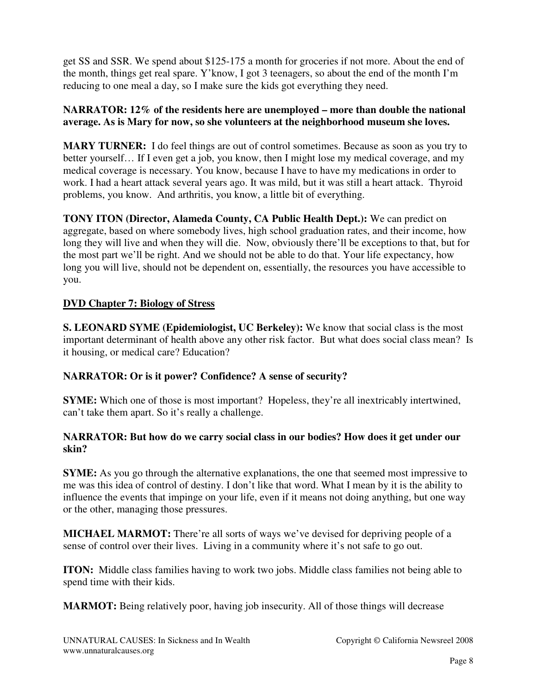get SS and SSR. We spend about \$125-175 a month for groceries if not more. About the end of the month, things get real spare. Y'know, I got 3 teenagers, so about the end of the month I'm reducing to one meal a day, so I make sure the kids got everything they need.

# **NARRATOR: 12% of the residents here are unemployed – more than double the national average. As is Mary for now, so she volunteers at the neighborhood museum she loves.**

**MARY TURNER:** I do feel things are out of control sometimes. Because as soon as you try to better yourself… If I even get a job, you know, then I might lose my medical coverage, and my medical coverage is necessary. You know, because I have to have my medications in order to work. I had a heart attack several years ago. It was mild, but it was still a heart attack. Thyroid problems, you know. And arthritis, you know, a little bit of everything.

**TONY ITON (Director, Alameda County, CA Public Health Dept.):** We can predict on aggregate, based on where somebody lives, high school graduation rates, and their income, how long they will live and when they will die. Now, obviously there'll be exceptions to that, but for the most part we'll be right. And we should not be able to do that. Your life expectancy, how long you will live, should not be dependent on, essentially, the resources you have accessible to you.

# **DVD Chapter 7: Biology of Stress**

**S. LEONARD SYME (Epidemiologist, UC Berkeley):** We know that social class is the most important determinant of health above any other risk factor. But what does social class mean? Is it housing, or medical care? Education?

# **NARRATOR: Or is it power? Confidence? A sense of security?**

**SYME:** Which one of those is most important? Hopeless, they're all inextricably intertwined, can't take them apart. So it's really a challenge.

# **NARRATOR: But how do we carry social class in our bodies? How does it get under our skin?**

**SYME:** As you go through the alternative explanations, the one that seemed most impressive to me was this idea of control of destiny. I don't like that word. What I mean by it is the ability to influence the events that impinge on your life, even if it means not doing anything, but one way or the other, managing those pressures.

**MICHAEL MARMOT:** There're all sorts of ways we've devised for depriving people of a sense of control over their lives. Living in a community where it's not safe to go out.

**ITON:** Middle class families having to work two jobs. Middle class families not being able to spend time with their kids.

**MARMOT:** Being relatively poor, having job insecurity. All of those things will decrease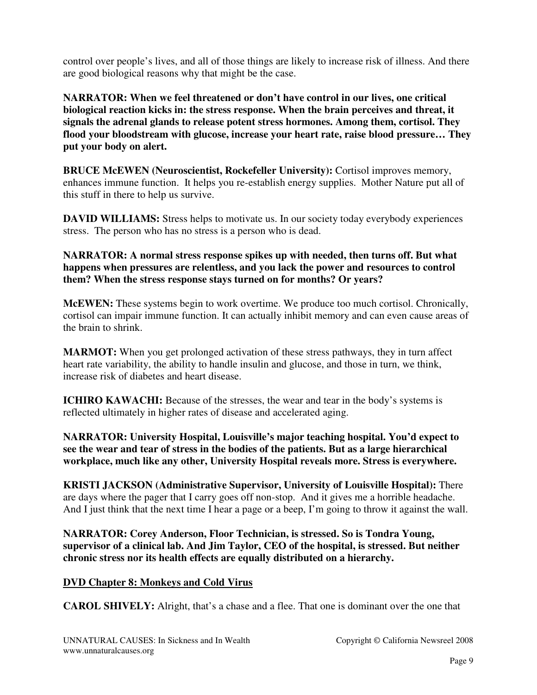control over people's lives, and all of those things are likely to increase risk of illness. And there are good biological reasons why that might be the case.

**NARRATOR: When we feel threatened or don't have control in our lives, one critical biological reaction kicks in: the stress response. When the brain perceives and threat, it signals the adrenal glands to release potent stress hormones. Among them, cortisol. They flood your bloodstream with glucose, increase your heart rate, raise blood pressure… They put your body on alert.**

**BRUCE McEWEN (Neuroscientist, Rockefeller University):** Cortisol improves memory, enhances immune function. It helps you re-establish energy supplies. Mother Nature put all of this stuff in there to help us survive.

**DAVID WILLIAMS:** Stress helps to motivate us. In our society today everybody experiences stress. The person who has no stress is a person who is dead.

**NARRATOR: A normal stress response spikes up with needed, then turns off. But what happens when pressures are relentless, and you lack the power and resources to control them? When the stress response stays turned on for months? Or years?** 

**McEWEN:** These systems begin to work overtime. We produce too much cortisol. Chronically, cortisol can impair immune function. It can actually inhibit memory and can even cause areas of the brain to shrink.

**MARMOT:** When you get prolonged activation of these stress pathways, they in turn affect heart rate variability, the ability to handle insulin and glucose, and those in turn, we think, increase risk of diabetes and heart disease.

**ICHIRO KAWACHI:** Because of the stresses, the wear and tear in the body's systems is reflected ultimately in higher rates of disease and accelerated aging.

**NARRATOR: University Hospital, Louisville's major teaching hospital. You'd expect to see the wear and tear of stress in the bodies of the patients. But as a large hierarchical workplace, much like any other, University Hospital reveals more. Stress is everywhere.**

**KRISTI JACKSON (Administrative Supervisor, University of Louisville Hospital):** There are days where the pager that I carry goes off non-stop. And it gives me a horrible headache. And I just think that the next time I hear a page or a beep, I'm going to throw it against the wall.

**NARRATOR: Corey Anderson, Floor Technician, is stressed. So is Tondra Young, supervisor of a clinical lab. And Jim Taylor, CEO of the hospital, is stressed. But neither chronic stress nor its health effects are equally distributed on a hierarchy.** 

# **DVD Chapter 8: Monkeys and Cold Virus**

**CAROL SHIVELY:** Alright, that's a chase and a flee. That one is dominant over the one that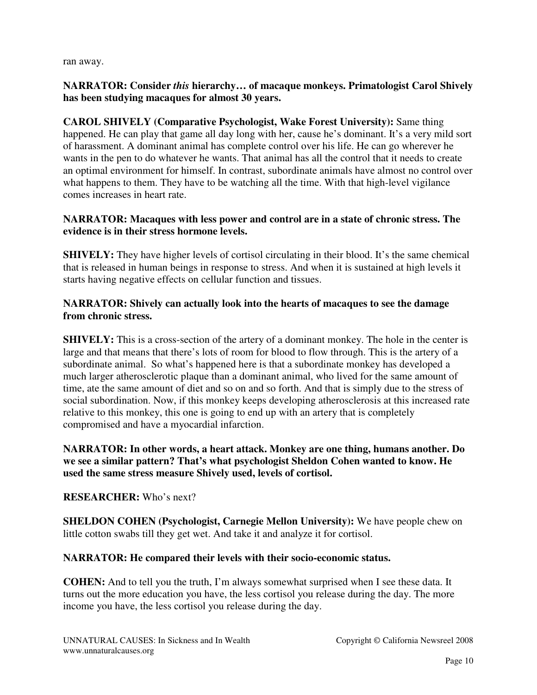ran away.

# **NARRATOR: Consider** *this* **hierarchy… of macaque monkeys. Primatologist Carol Shively has been studying macaques for almost 30 years.**

**CAROL SHIVELY (Comparative Psychologist, Wake Forest University):** Same thing happened. He can play that game all day long with her, cause he's dominant. It's a very mild sort of harassment. A dominant animal has complete control over his life. He can go wherever he wants in the pen to do whatever he wants. That animal has all the control that it needs to create an optimal environment for himself. In contrast, subordinate animals have almost no control over what happens to them. They have to be watching all the time. With that high-level vigilance comes increases in heart rate.

# **NARRATOR: Macaques with less power and control are in a state of chronic stress. The evidence is in their stress hormone levels.**

**SHIVELY:** They have higher levels of cortisol circulating in their blood. It's the same chemical that is released in human beings in response to stress. And when it is sustained at high levels it starts having negative effects on cellular function and tissues.

# **NARRATOR: Shively can actually look into the hearts of macaques to see the damage from chronic stress.**

**SHIVELY:** This is a cross-section of the artery of a dominant monkey. The hole in the center is large and that means that there's lots of room for blood to flow through. This is the artery of a subordinate animal. So what's happened here is that a subordinate monkey has developed a much larger atherosclerotic plaque than a dominant animal, who lived for the same amount of time, ate the same amount of diet and so on and so forth. And that is simply due to the stress of social subordination. Now, if this monkey keeps developing atherosclerosis at this increased rate relative to this monkey, this one is going to end up with an artery that is completely compromised and have a myocardial infarction.

# **NARRATOR: In other words, a heart attack. Monkey are one thing, humans another. Do we see a similar pattern? That's what psychologist Sheldon Cohen wanted to know. He used the same stress measure Shively used, levels of cortisol.**

# **RESEARCHER:** Who's next?

**SHELDON COHEN (Psychologist, Carnegie Mellon University):** We have people chew on little cotton swabs till they get wet. And take it and analyze it for cortisol.

# **NARRATOR: He compared their levels with their socio-economic status.**

**COHEN:** And to tell you the truth, I'm always somewhat surprised when I see these data. It turns out the more education you have, the less cortisol you release during the day. The more income you have, the less cortisol you release during the day.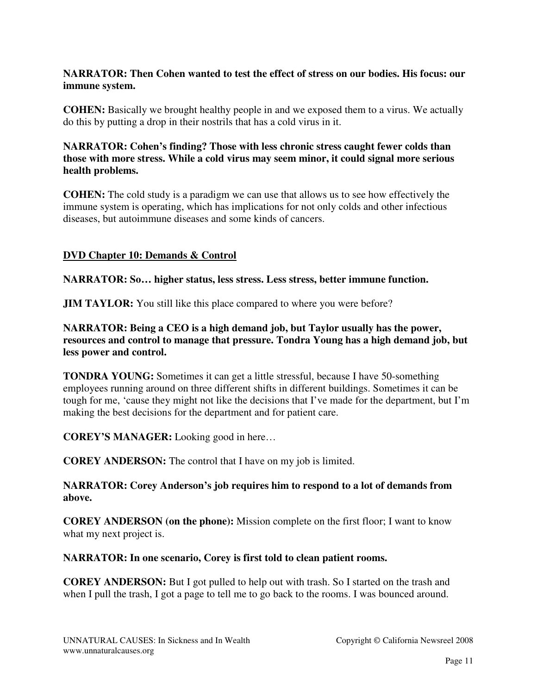## **NARRATOR: Then Cohen wanted to test the effect of stress on our bodies. His focus: our immune system.**

**COHEN:** Basically we brought healthy people in and we exposed them to a virus. We actually do this by putting a drop in their nostrils that has a cold virus in it.

#### **NARRATOR: Cohen's finding? Those with less chronic stress caught fewer colds than those with more stress. While a cold virus may seem minor, it could signal more serious health problems.**

**COHEN:** The cold study is a paradigm we can use that allows us to see how effectively the immune system is operating, which has implications for not only colds and other infectious diseases, but autoimmune diseases and some kinds of cancers.

# **DVD Chapter 10: Demands & Control**

#### **NARRATOR: So… higher status, less stress. Less stress, better immune function.**

**JIM TAYLOR:** You still like this place compared to where you were before?

**NARRATOR: Being a CEO is a high demand job, but Taylor usually has the power, resources and control to manage that pressure. Tondra Young has a high demand job, but less power and control.**

**TONDRA YOUNG:** Sometimes it can get a little stressful, because I have 50-something employees running around on three different shifts in different buildings. Sometimes it can be tough for me, 'cause they might not like the decisions that I've made for the department, but I'm making the best decisions for the department and for patient care.

**COREY'S MANAGER:** Looking good in here…

**COREY ANDERSON:** The control that I have on my job is limited.

#### **NARRATOR: Corey Anderson's job requires him to respond to a lot of demands from above.**

**COREY ANDERSON (on the phone):** Mission complete on the first floor; I want to know what my next project is.

#### **NARRATOR: In one scenario, Corey is first told to clean patient rooms.**

**COREY ANDERSON:** But I got pulled to help out with trash. So I started on the trash and when I pull the trash, I got a page to tell me to go back to the rooms. I was bounced around.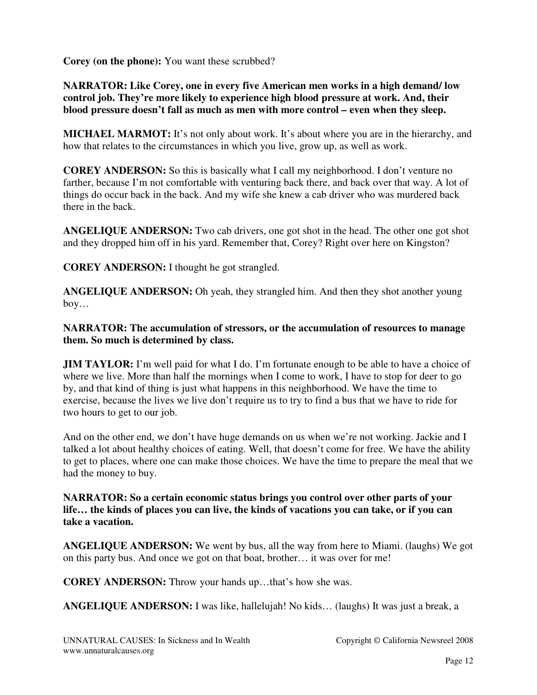**Corey (on the phone):** You want these scrubbed?

#### **NARRATOR: Like Corey, one in every five American men works in a high demand/ low control job. They're more likely to experience high blood pressure at work. And, their blood pressure doesn't fall as much as men with more control – even when they sleep.**

**MICHAEL MARMOT:** It's not only about work. It's about where you are in the hierarchy, and how that relates to the circumstances in which you live, grow up, as well as work.

**COREY ANDERSON:** So this is basically what I call my neighborhood. I don't venture no farther, because I'm not comfortable with venturing back there, and back over that way. A lot of things do occur back in the back. And my wife she knew a cab driver who was murdered back there in the back.

**ANGELIQUE ANDERSON:** Two cab drivers, one got shot in the head. The other one got shot and they dropped him off in his yard. Remember that, Corey? Right over here on Kingston?

**COREY ANDERSON:** I thought he got strangled.

**ANGELIQUE ANDERSON:** Oh yeah, they strangled him. And then they shot another young boy…

**NARRATOR: The accumulation of stressors, or the accumulation of resources to manage them. So much is determined by class.** 

**JIM TAYLOR:** I'm well paid for what I do. I'm fortunate enough to be able to have a choice of where we live. More than half the mornings when I come to work, I have to stop for deer to go by, and that kind of thing is just what happens in this neighborhood. We have the time to exercise, because the lives we live don't require us to try to find a bus that we have to ride for two hours to get to our job.

And on the other end, we don't have huge demands on us when we're not working. Jackie and I talked a lot about healthy choices of eating. Well, that doesn't come for free. We have the ability to get to places, where one can make those choices. We have the time to prepare the meal that we had the money to buy.

#### **NARRATOR: So a certain economic status brings you control over other parts of your life… the kinds of places you can live, the kinds of vacations you can take, or if you can take a vacation.**

**ANGELIQUE ANDERSON:** We went by bus, all the way from here to Miami. (laughs) We got on this party bus. And once we got on that boat, brother… it was over for me!

**COREY ANDERSON:** Throw your hands up…that's how she was.

**ANGELIQUE ANDERSON:** I was like, hallelujah! No kids… (laughs) It was just a break, a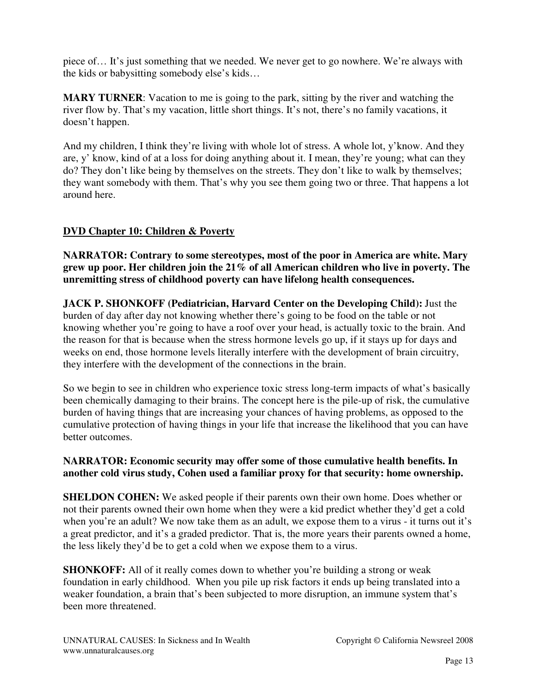piece of… It's just something that we needed. We never get to go nowhere. We're always with the kids or babysitting somebody else's kids…

**MARY TURNER**: Vacation to me is going to the park, sitting by the river and watching the river flow by. That's my vacation, little short things. It's not, there's no family vacations, it doesn't happen.

And my children, I think they're living with whole lot of stress. A whole lot, y'know. And they are, y' know, kind of at a loss for doing anything about it. I mean, they're young; what can they do? They don't like being by themselves on the streets. They don't like to walk by themselves; they want somebody with them. That's why you see them going two or three. That happens a lot around here.

# **DVD Chapter 10: Children & Poverty**

**NARRATOR: Contrary to some stereotypes, most of the poor in America are white. Mary grew up poor. Her children join the 21% of all American children who live in poverty. The unremitting stress of childhood poverty can have lifelong health consequences.**

**JACK P. SHONKOFF (Pediatrician, Harvard Center on the Developing Child):** Just the burden of day after day not knowing whether there's going to be food on the table or not knowing whether you're going to have a roof over your head, is actually toxic to the brain. And the reason for that is because when the stress hormone levels go up, if it stays up for days and weeks on end, those hormone levels literally interfere with the development of brain circuitry, they interfere with the development of the connections in the brain.

So we begin to see in children who experience toxic stress long-term impacts of what's basically been chemically damaging to their brains. The concept here is the pile-up of risk, the cumulative burden of having things that are increasing your chances of having problems, as opposed to the cumulative protection of having things in your life that increase the likelihood that you can have better outcomes.

# **NARRATOR: Economic security may offer some of those cumulative health benefits. In another cold virus study, Cohen used a familiar proxy for that security: home ownership.**

**SHELDON COHEN:** We asked people if their parents own their own home. Does whether or not their parents owned their own home when they were a kid predict whether they'd get a cold when you're an adult? We now take them as an adult, we expose them to a virus - it turns out it's a great predictor, and it's a graded predictor. That is, the more years their parents owned a home, the less likely they'd be to get a cold when we expose them to a virus.

**SHONKOFF:** All of it really comes down to whether you're building a strong or weak foundation in early childhood. When you pile up risk factors it ends up being translated into a weaker foundation, a brain that's been subjected to more disruption, an immune system that's been more threatened.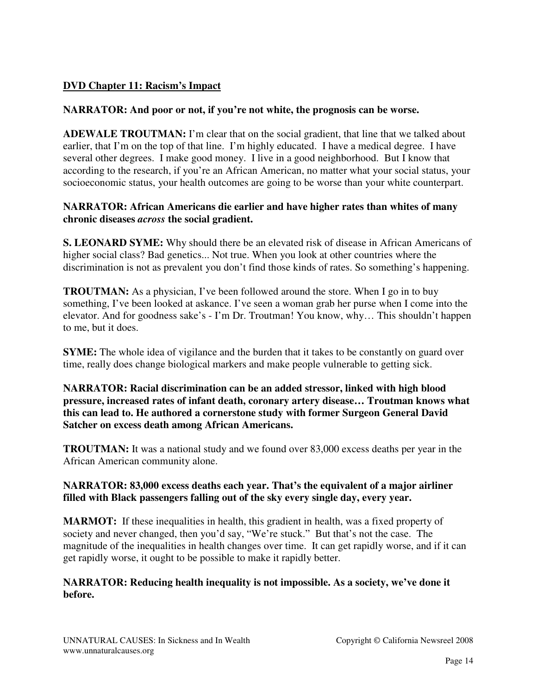# **DVD Chapter 11: Racism's Impact**

#### **NARRATOR: And poor or not, if you're not white, the prognosis can be worse.**

**ADEWALE TROUTMAN:** I'm clear that on the social gradient, that line that we talked about earlier, that I'm on the top of that line. I'm highly educated. I have a medical degree. I have several other degrees. I make good money. I live in a good neighborhood. But I know that according to the research, if you're an African American, no matter what your social status, your socioeconomic status, your health outcomes are going to be worse than your white counterpart.

#### **NARRATOR: African Americans die earlier and have higher rates than whites of many chronic diseases** *across* **the social gradient.**

**S. LEONARD SYME:** Why should there be an elevated risk of disease in African Americans of higher social class? Bad genetics... Not true. When you look at other countries where the discrimination is not as prevalent you don't find those kinds of rates. So something's happening.

**TROUTMAN:** As a physician, I've been followed around the store. When I go in to buy something, I've been looked at askance. I've seen a woman grab her purse when I come into the elevator. And for goodness sake's - I'm Dr. Troutman! You know, why… This shouldn't happen to me, but it does.

**SYME:** The whole idea of vigilance and the burden that it takes to be constantly on guard over time, really does change biological markers and make people vulnerable to getting sick.

**NARRATOR: Racial discrimination can be an added stressor, linked with high blood pressure, increased rates of infant death, coronary artery disease… Troutman knows what this can lead to. He authored a cornerstone study with former Surgeon General David Satcher on excess death among African Americans.** 

**TROUTMAN:** It was a national study and we found over 83,000 excess deaths per year in the African American community alone.

#### **NARRATOR: 83,000 excess deaths each year. That's the equivalent of a major airliner filled with Black passengers falling out of the sky every single day, every year.**

**MARMOT:** If these inequalities in health, this gradient in health, was a fixed property of society and never changed, then you'd say, "We're stuck." But that's not the case. The magnitude of the inequalities in health changes over time. It can get rapidly worse, and if it can get rapidly worse, it ought to be possible to make it rapidly better.

# **NARRATOR: Reducing health inequality is not impossible. As a society, we've done it before.**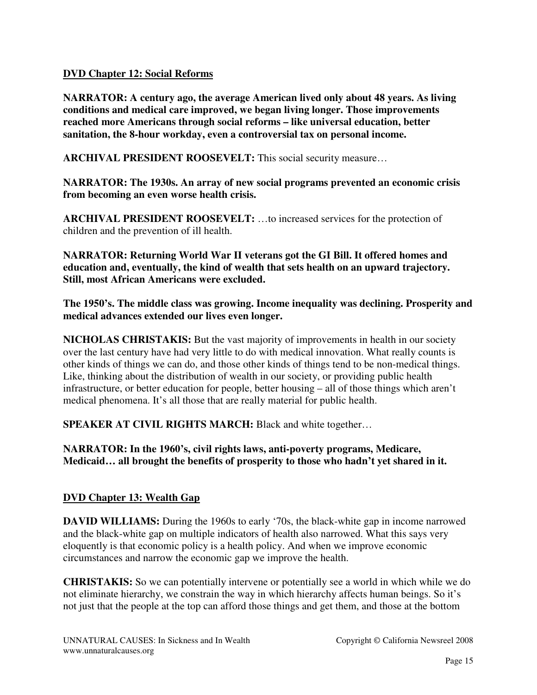#### **DVD Chapter 12: Social Reforms**

**NARRATOR: A century ago, the average American lived only about 48 years. As living conditions and medical care improved, we began living longer. Those improvements reached more Americans through social reforms – like universal education, better sanitation, the 8-hour workday, even a controversial tax on personal income.** 

**ARCHIVAL PRESIDENT ROOSEVELT:** This social security measure…

**NARRATOR: The 1930s. An array of new social programs prevented an economic crisis from becoming an even worse health crisis.**

**ARCHIVAL PRESIDENT ROOSEVELT:** …to increased services for the protection of children and the prevention of ill health.

**NARRATOR: Returning World War II veterans got the GI Bill. It offered homes and education and, eventually, the kind of wealth that sets health on an upward trajectory. Still, most African Americans were excluded.** 

**The 1950's. The middle class was growing. Income inequality was declining. Prosperity and medical advances extended our lives even longer.**

**NICHOLAS CHRISTAKIS:** But the vast majority of improvements in health in our society over the last century have had very little to do with medical innovation. What really counts is other kinds of things we can do, and those other kinds of things tend to be non-medical things. Like, thinking about the distribution of wealth in our society, or providing public health infrastructure, or better education for people, better housing – all of those things which aren't medical phenomena. It's all those that are really material for public health.

**SPEAKER AT CIVIL RIGHTS MARCH:** Black and white together…

**NARRATOR: In the 1960's, civil rights laws, anti-poverty programs, Medicare, Medicaid… all brought the benefits of prosperity to those who hadn't yet shared in it.**

# **DVD Chapter 13: Wealth Gap**

**DAVID WILLIAMS:** During the 1960s to early '70s, the black-white gap in income narrowed and the black-white gap on multiple indicators of health also narrowed. What this says very eloquently is that economic policy is a health policy. And when we improve economic circumstances and narrow the economic gap we improve the health.

**CHRISTAKIS:** So we can potentially intervene or potentially see a world in which while we do not eliminate hierarchy, we constrain the way in which hierarchy affects human beings. So it's not just that the people at the top can afford those things and get them, and those at the bottom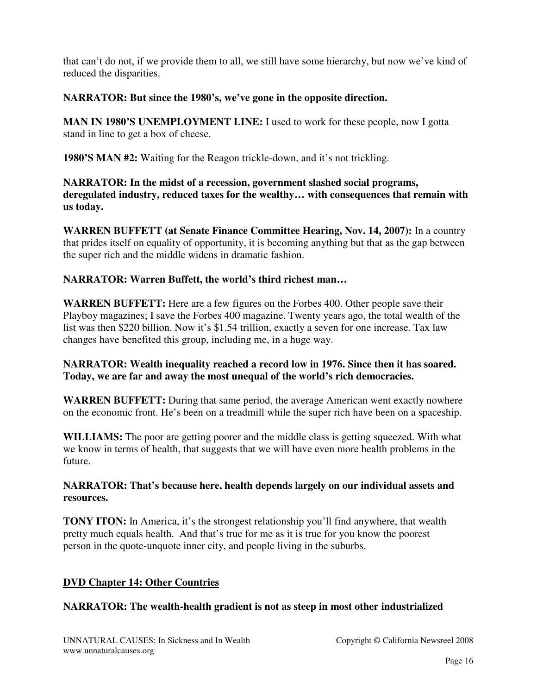that can't do not, if we provide them to all, we still have some hierarchy, but now we've kind of reduced the disparities.

#### **NARRATOR: But since the 1980's, we've gone in the opposite direction.**

**MAN IN 1980'S UNEMPLOYMENT LINE:** I used to work for these people, now I gotta stand in line to get a box of cheese.

**1980'S MAN #2:** Waiting for the Reagon trickle-down, and it's not trickling.

**NARRATOR: In the midst of a recession, government slashed social programs, deregulated industry, reduced taxes for the wealthy… with consequences that remain with us today.**

**WARREN BUFFETT (at Senate Finance Committee Hearing, Nov. 14, 2007):** In a country that prides itself on equality of opportunity, it is becoming anything but that as the gap between the super rich and the middle widens in dramatic fashion.

#### **NARRATOR: Warren Buffett, the world's third richest man…**

**WARREN BUFFETT:** Here are a few figures on the Forbes 400. Other people save their Playboy magazines; I save the Forbes 400 magazine. Twenty years ago, the total wealth of the list was then \$220 billion. Now it's \$1.54 trillion, exactly a seven for one increase. Tax law changes have benefited this group, including me, in a huge way.

#### **NARRATOR: Wealth inequality reached a record low in 1976. Since then it has soared. Today, we are far and away the most unequal of the world's rich democracies.**

**WARREN BUFFETT:** During that same period, the average American went exactly nowhere on the economic front. He's been on a treadmill while the super rich have been on a spaceship.

**WILLIAMS:** The poor are getting poorer and the middle class is getting squeezed. With what we know in terms of health, that suggests that we will have even more health problems in the future.

#### **NARRATOR: That's because here, health depends largely on our individual assets and resources.**

**TONY ITON:** In America, it's the strongest relationship you'll find anywhere, that wealth pretty much equals health. And that's true for me as it is true for you know the poorest person in the quote-unquote inner city, and people living in the suburbs.

# **DVD Chapter 14: Other Countries**

#### **NARRATOR: The wealth-health gradient is not as steep in most other industrialized**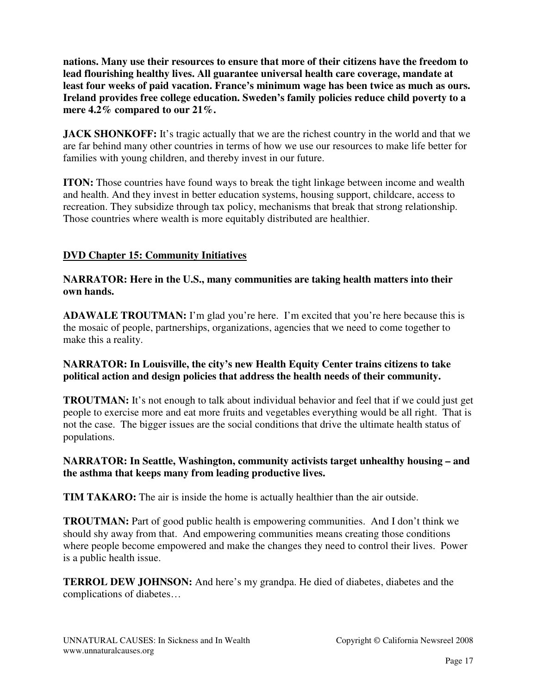**nations. Many use their resources to ensure that more of their citizens have the freedom to lead flourishing healthy lives. All guarantee universal health care coverage, mandate at least four weeks of paid vacation. France's minimum wage has been twice as much as ours. Ireland provides free college education. Sweden's family policies reduce child poverty to a mere 4.2% compared to our 21%.** 

**JACK SHONKOFF:** It's tragic actually that we are the richest country in the world and that we are far behind many other countries in terms of how we use our resources to make life better for families with young children, and thereby invest in our future.

**ITON:** Those countries have found ways to break the tight linkage between income and wealth and health. And they invest in better education systems, housing support, childcare, access to recreation. They subsidize through tax policy, mechanisms that break that strong relationship. Those countries where wealth is more equitably distributed are healthier.

# **DVD Chapter 15: Community Initiatives**

#### **NARRATOR: Here in the U.S., many communities are taking health matters into their own hands.**

**ADAWALE TROUTMAN:** I'm glad you're here. I'm excited that you're here because this is the mosaic of people, partnerships, organizations, agencies that we need to come together to make this a reality.

#### **NARRATOR: In Louisville, the city's new Health Equity Center trains citizens to take political action and design policies that address the health needs of their community.**

**TROUTMAN:** It's not enough to talk about individual behavior and feel that if we could just get people to exercise more and eat more fruits and vegetables everything would be all right. That is not the case. The bigger issues are the social conditions that drive the ultimate health status of populations.

#### **NARRATOR: In Seattle, Washington, community activists target unhealthy housing – and the asthma that keeps many from leading productive lives.**

**TIM TAKARO:** The air is inside the home is actually healthier than the air outside.

**TROUTMAN:** Part of good public health is empowering communities. And I don't think we should shy away from that. And empowering communities means creating those conditions where people become empowered and make the changes they need to control their lives. Power is a public health issue.

**TERROL DEW JOHNSON:** And here's my grandpa. He died of diabetes, diabetes and the complications of diabetes…